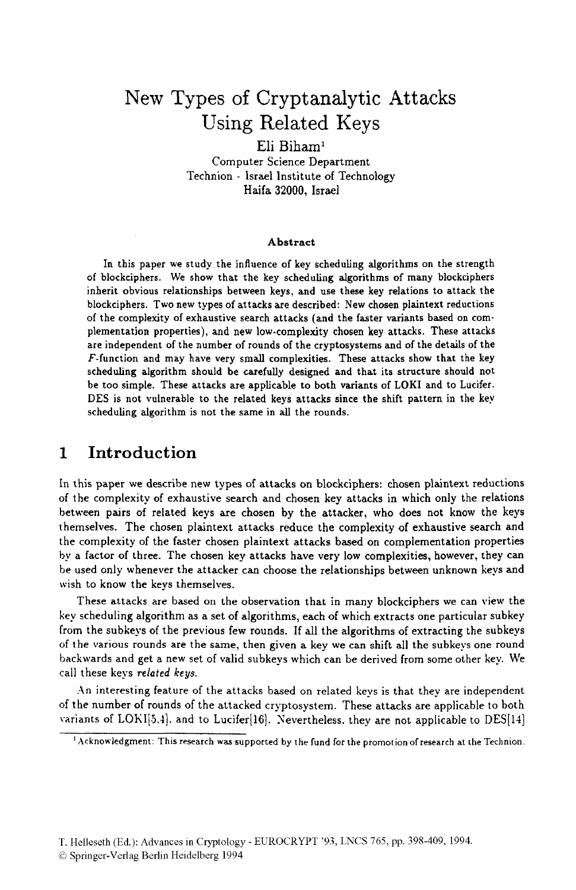# New Types of Cryptanalytic Attacks Using Related Keys

Eli Biham' Computer Science Department Technion - Israel Institute of Technology

Haifa 32000, Israel

#### **Abstract**

In this paper we study the influence of key scheduling algorithms on the strength of blockciphers. We show that the key scheduling algorithms of many blockciphers inherit obvious relationships between keys, and use these key relations to attack the blockciphers. Two new types of attacks are described: New chosen plaintext reductions of the complexity of exhaustive search attacks (and the faster variants based on complementation properties), and new low-complexity chosen key attacks. These attacks are independent of the number of rounds of the cryptosystems and of the details of the F-function and may have very **small** complexities. These attacks show that the key scheduling algorithm should be carefully designed and that its structure should not be too simple. These attacks are applicable to both variants of **LOKI** and to Lucifer. **DES** is not vulnerable to the related keys attacks since the shift pattern in the key scheduling algorithm is not the same in **all** the rounds.

### **1 Introduction**

In this paper we describe new types of attacks on blockciphers: chosen plaintext reductions of the complexity of exhaustive search and chosen key attacks in which only the relations between pairs of related keys are chosen by the attacker, who does not know the keys themselves. The chosen plaintext attacks reduce the complexity of exhaustive search and the complexity of the faster chosen plaintext attacks based on complementation properties by a factor of three. The chosen key attacks have very **low** complexities, however, they can be used only whenever the attacker can choose the relationships between unknown keys and wish to know the keys themselves.

These attacks are based on the observation that in many blockciphers we can view the key scheduling algorithm as a set of algorithms, each of which extracts one particular subkey from the subkegs of the previous few rounds. If all the algorithms of extracting the subkeys of the various rounds are the same, then given a key we can shift **all** the subkeys one round backwards and get a new set of valid subkeys which can be derived from some other key. We call these keys related *keys.* 

**An** interesting feature of the attacks based on related keys is that they are independent of the number of rounds of the attacked cryptosystem. These attacks are applicable to both variants of  $LOKI[5.4]$ . and to Lucifer[16]. Nevertheless. they are not applicable to  $DES[14]$ 

<sup>&#</sup>x27; **Acknoaledgrnent: This research was supported by the fund for the promotion** of **research at the Teclinion.**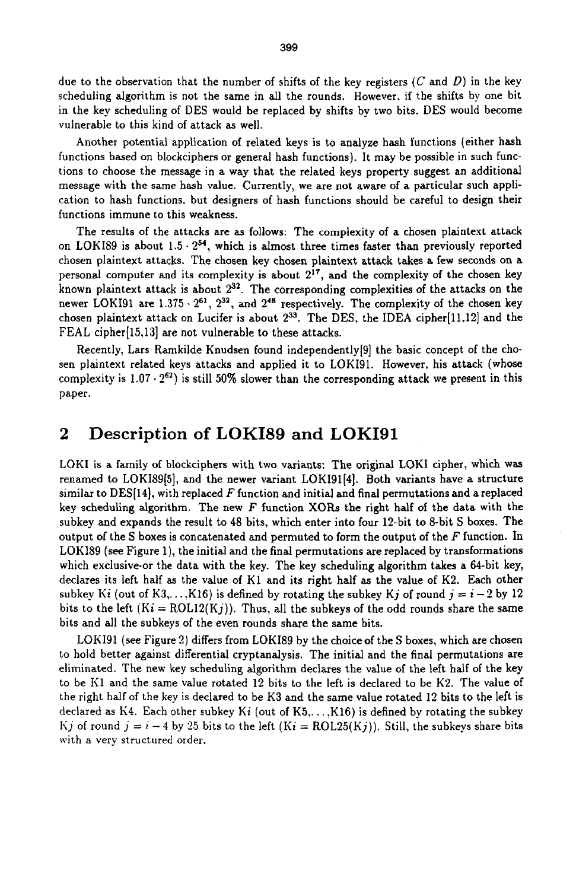due to the observation that the number of shifts of the key registers  $(C \text{ and } D)$  in the key scheduling algorithm is not the same in all the rounds. However. if the shifts by one bit in the key scheduling of DES would be replaced by shifts by two bits. DES would become vulnerable to this kind of attack **as** well.

Another potential application of related keys is to analyze hash functions (either hash functions based on blockciphers or general hash functions). It may be possible in such functions to choose the message in a way that the related keys property suggest an additional message with the same hash value. Currently, we are not aware of a particular such application to hash functions. but designers of hash functions should be careful to design their functions immune to this weakness.

The results of the attacks are **as** follows: The complexity of a chosen plaintext attack on LOKI89 is about 1.5 . **254,** which is almost three times faster than previously reported chosen plaintext attacks. The chosen key chosen plaintext attack takes a few seconds on a personal computer and its complexity is about *P',* and the complexity of the chosen key known plaintext attack is about  $2^{32}$ . The corresponding complexities of the attacks on the newer LOKI91 are 1.375 . **261, 232,** and 248 respectively. The complexity of the chosen key chosen plaintext attack on Lucifer is about  $2^{33}$ . The DES, the IDEA cipher[11,12] and the FEAL cipher<sup>[15,13]</sup> are not vulnerable to these attacks.

Recently, Lars Ramkilde Knudsen found independently[9] the basic concept of the chosen plaintext related keys attacks and applied it to LOKI91. However, his attack (whose complexity is  $1.07 \cdot 2^{62}$ ) is still 50% slower than the corresponding attack we present in this paper.

### **2 Description of LOKISS and LOKI91**

LOKI is a family of blockciphers with two variants: The original LOKI cipher, which was renamed to LOKI89[5], and the newer variant LOKI91[4]. Both variants have a structure similar to  $DES[14]$ , with replaced F function and initial and final permutations and a replaced key scheduling algorithm. The new *F* function **XORs** the right half of the data with the subkey and expands the result to 48 bits, which enter into four 12-bit to 8-bit S boxes. The output of the S boxes is concatenated and permuted to form the output of the  $F$  function. In LOK189 **(see** Figure l), the initial and the final permutations are replaced by transformations which exclusive-or the data with the key. The key scheduling algorithm takes a 64-bit key, declares its left half **as** the value of K1 and its right half **as** the value of K2. Each other subkey Ki (out of K3,...,K16) is defined by rotating the subkey Kj of round  $j = i - 2$  by 12 bits to the left  $(Ki = \text{ROL12}(Kj))$ . Thus, all the subkeys of the odd rounds share the same bits and all the subkeys of the even rounds share the same bits.

LOKI91 (see Figure 2) differs from LOKI89 by the choice of the S boxes, which are chosen to hold better against differential cryptanalysis. The initial and the final permutations are eliminated. The new key scheduling algorithm declares the value of the left half of the key to be  $K1$  and the same value rotated 12 bits to the left is declared to be  $K2$ . The value of the right half of the key is declared to be K3 and the same value rotated 12 bits to the left is declared as **K4.** Each other subkey Ki (out of K5,. . . ,K16) is defined by rotating the subkey  $Kj$  of round  $j = i - 4$  by 25 bits to the left  $(Ki = \text{ROL25}(Kj))$ . Still, the subkeys share bits with a very structured order.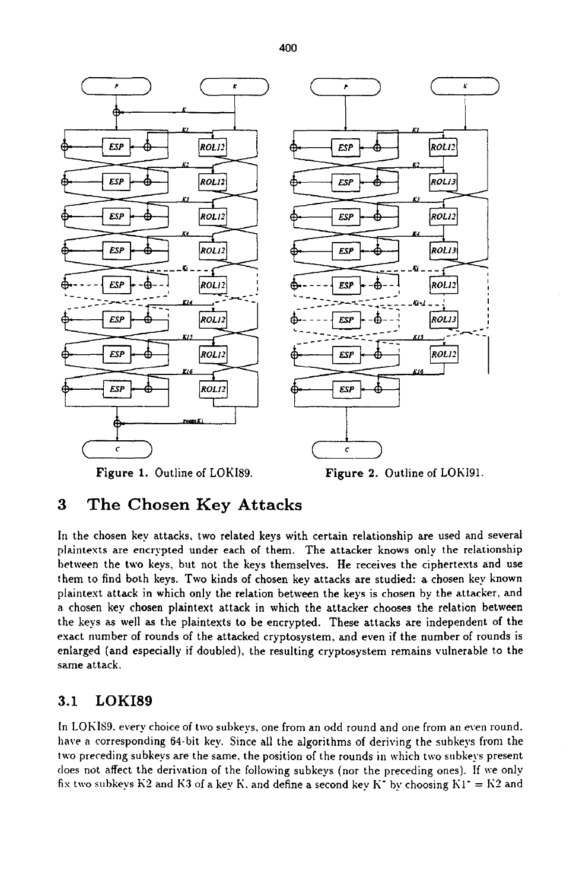



Figure 1. Outline of LOKI89. Figure 2. Outline of LOKI91.

## **3 The Chosen Key Attacks**

In the chosen key attacks, two related keys with certain relationship are used and several plaintexts **are** encrypted under each of them. The attacker knows only the relationship between the **two** keys, but not the keys themselves. He receives the ciphertexts and use them to find both keys. Two kinds of chosen key attacks are studied: **a** chosen key known plaintext attack in which only the relation between the keys is chosen by the attacker, and a chosen key chosen plaintext attack in which the attacker chooses the relation between the **keys** as well **as** the plaintexts to be encrypted. These attacks are independent of the exact number of rounds of the attacked cryptosystem, and even if the number of rounds is enlarged (and especially if doubled), the resulting cryptosystem remains vulnerable to the same attack.

### **3.1 LOKI89**

In LOKIS9, every choice of two subkeys, one from an odd round and one from an even round. have a corresponding 64-bit key. Since all the algorithms of deriving the subkeys from the two preceding subkeys are the same. the position of the rounds in which two **stihkeys** present does not affect the derivation of the following subkeys (nor the preceding ones). If we only fix two subkeys  $K2$  and  $K3$  of a key K, and define a second key K<sup>\*</sup> by choosing  $K1^* = K2$  and

**400**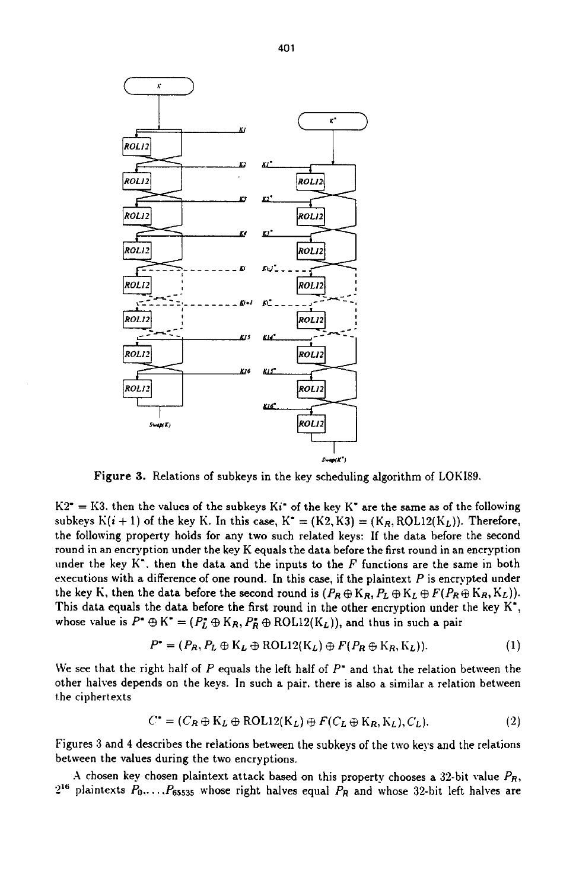

Figure **3.** Relations of subkeys in the key scheduling algorithm of **LOKISS.** 

 $K2^* = K3$ , then the values of the subkeys  $Ki^*$  of the key K<sup> $*$ </sup> are the same as of the following subkeys  $K(i + 1)$  of the key K. In this case,  $K^* = (K2, K3) = (K_R, ROL12(K_L))$ . Therefore, the following property holds for any two such related keys: If the data before the second round in an encryption under the key K equals the data before the first round in an encryption under the key  $K^*$ , then the data and the inputs to the  $F$  functions are the same in both executions with a difference of one round. In this case, if the plaintext  $P$  is encrypted under the key K, then the data before the second round is  $(P_R \oplus K_R, P_L \oplus K_L \oplus F(P_R \oplus K_R, K_L)).$ This data equals the data before the first round in the other encryption under the key K', whose value is  $P^* \oplus K^* = (P_L^* \oplus K_R, P_R^* \oplus \text{ROL12}(K_L))$ , and thus in such a pair

$$
P^* = (P_R, P_L \oplus \mathcal{K}_L \oplus \text{ROL12}(\mathcal{K}_L) \oplus F(P_R \oplus \mathcal{K}_R, \mathcal{K}_L)).
$$
 (1)

We see that the right half of P equals the left half of *P'* and that the relation between the other halves depends on the keys. In such a pair. there is **also** a similar **a** relation between the ciphertexts

$$
C^* = (C_R \oplus K_L \oplus \text{ROL12}(K_L) \oplus F(C_L \oplus K_R, K_L), C_L). \tag{2}
$$

Figures 3 and **4** describes the relations between the subkeys of the two keys and the relations between the values during the two encryptions.

A chosen key chosen plaintext attack based on this property chooses a 32-bit value *PR,*   $2^{16}$  plaintexts  $P_0$ ,..., $P_{65535}$  whose right halves equal  $P_R$  and whose 32-bit left halves are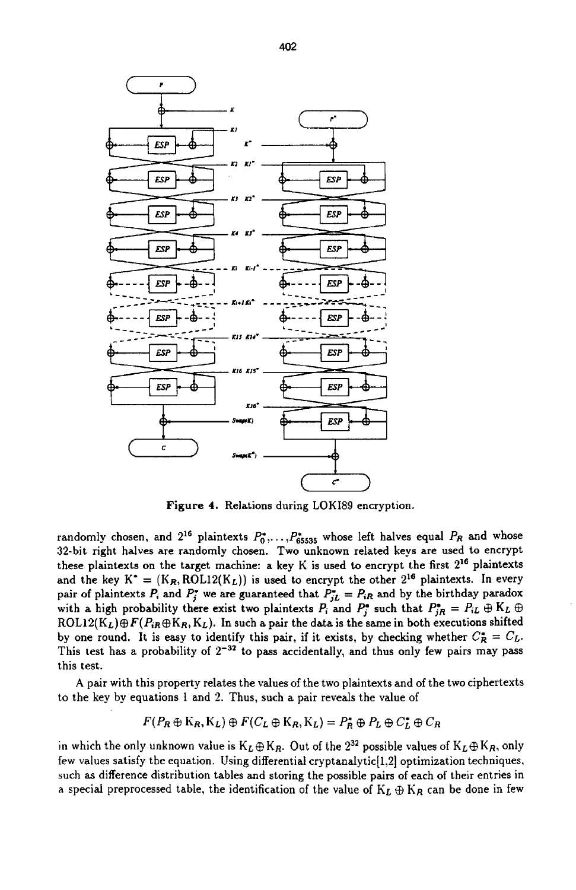

**Figure 4.** Relations during LOKI89 encryption.

randomly chosen, and  $2^{16}$  plaintexts  $P_0^*, \ldots, P_{65535}^*$  whose left halves equal  $P_R$  and whose 32-bit right halves are randomly chosen. Two unknown related keys are used to encrypt these plaintexts on the target machine: a key K is used **to** encrypt the first **2"** plaintexts and the key  $K^* = (K_R, ROL12(K_L))$  is used to encrypt the other  $2^{16}$  plaintexts. In every pair of plaintexts P, and  $P_j^*$  we are guaranteed that  $P_{jL}^* = P_{iR}$  and by the birthday paradox with a high probability there exist two plaintexts  $P_i$  and  $P_j^*$  such that  $P_{jR}^* = P_{iL} \oplus K_L \oplus$  $ROL12(K_L) \oplus F(P_{iR} \oplus K_R, K_L)$ . In such a pair the data is the same in both executions shifted by one round. It is easy to identify this pair, if it exists, by checking whether  $C_R^* = C_L$ . This test has a probability of **2-32** to pass accidentally, and thus only few pairs may pass this test.

**A** pair with this property relates the values of the two plaintexts and of the two ciphertexts to the key by equations **1** and 2. Thus, such a pair reveals the value of

$$
F(P_R \oplus K_R, K_L) \oplus F(C_L \oplus K_R, K_L) = P_R^* \oplus P_L \oplus C_L^* \oplus C_R
$$

in which the only unknown value is  $K_L \oplus K_R$ . Out of the  $2^{32}$  possible values of  $K_L \oplus K_R$ , only **few** values satisfy the equation. Using differential cryptanalytic[l,2) optimization techniques, such **as** difference distribution tables and storing the possible pairs of each of their entries in a special preprocessed table, the identification of the value of  $K_L \oplus K_R$  can be done in few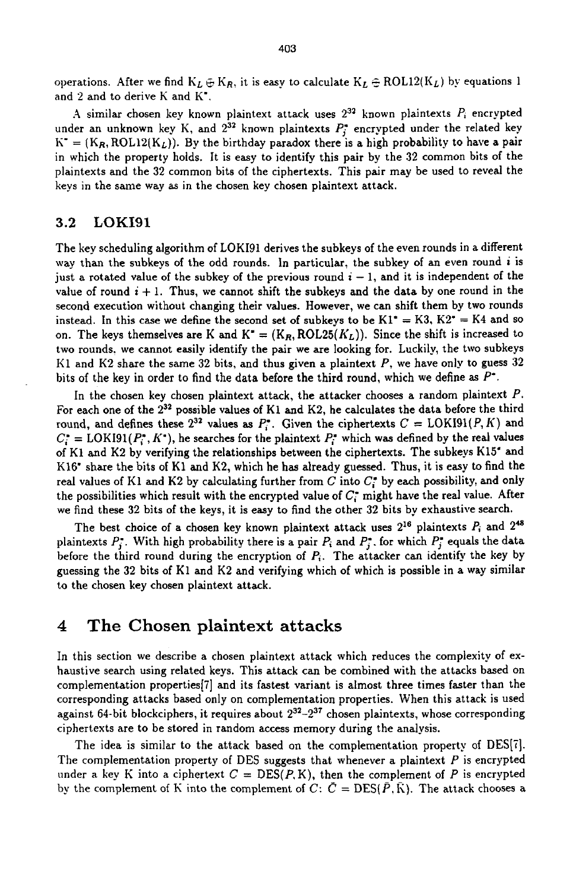operations. After we find  $K_L \oplus K_R$ , it is easy to calculate  $K_L \oplus \text{ROL12}(K_L)$  by equations 1 and **2** and to derive **K** and **K'.** 

**A** similar chosen key known plaintext attack uses **232** known plaintexts *P,* encrypted under an unknown key K, and  $2^{32}$  known plaintexts  $P_i^*$  encrypted under the related key  $K^* = (K_R, \text{ROL12}(K_L))$ . By the birthday paradox there is a high probability to have a pair in which the property holds. It is easy to identify this pair by the 32 common bits of the plaintexts and the 32 common bits of the ciphertexts. This pair may be used to reveal the keys in the same way **as** in the chosen key chosen plaintext attack.

#### **3.2 LOKI91**

The key scheduling algorithm of LOKI91 derives the subkeys of the even rounds in a different way than the subkeys of the odd rounds. In particular, the subkey of an even round *i* is just a rotated value of the subkey of the previous round  $i - 1$ , and it is independent of the value of round  $i + 1$ . Thus, we cannot shift the subkeys and the data by one round in the second execution without changing their values. However, we can shift them by two rounds instead. In this case we define the second set of subkeys to be  $K1^* = K3$ ,  $K2^* = K4$  and so on. The keys themselves are K and  $K^* = (K_R, ROL25(K_L))$ . Since the shift is increased to two rounds. we cannot easily identify the pair we are looking for. Luckily, the two subkeys  $K1$  and  $K2$  share the same 32 bits, and thus given a plaintext  $P$ , we have only to guess 32 bits of the key in order to find the data before the third round, which we define **as** *P'.* 

In the chosen key chosen plaintext attack, the attacker chooses a random plaintext *P.*  For each one of the **232** possible values of K1 and K2, he calculates the data before the third round, and defines these  $2^{32}$  values as  $P_i^*$ . Given the ciphertexts  $C = \text{LOK}191(P, K)$  and  $C_i^* = \text{LOKI91}(P_i^*, K^*)$ , he searches for the plaintext  $P_i^*$  which was defined by the real values of K1 and K2 by verifying the relationships between the ciphertexts. The subkeys **K15'** and K16' share the bits of **K1** and K2, which he has already guessed. Thus, it is easy to find the real values of K1 and K2 by calculating further from C into  $C_i^*$  by each possibility, and only the possibilities which result with the encrypted value of  $C_i^*$  might have the real value. After we find these 32 bits of the keys, it is easy to find the other 32 bits by exhaustive search.

The best choice of a chosen key known plaintext attack uses  $2^{16}$  plaintexts  $P_i$  and  $2^{48}$ plaintexts *P;.* With high probability there is a pair *Pi* and *P;.* for which *P;* equals the data before the third round during the encryption of *Pi.* The attacker can identify the key by guessing the 32 bits of K1 and K2 and verifying which of which is possible in a way similar to the chosen key chosen plaintext attack.

### **4 The Chosen plaintext attacks**

In this section we describe a chosen plaintext attack which reduces the complexity of exhaustive search using related keys. This attack can be combined with the attacks based on complementation properties[7] and its fastest variant is almost three times faster than the corresponding attacks based only on complementation properties. When this attack is used against 64-bit blockciphers, it requires about  $2^{32}-2^{37}$  chosen plaintexts, whose corresponding ciphertexts are to be stored in random access memory during the analysis.

The idea is similar to the attack based on the complementation property of  $DES[7]$ . The complementation property of **DES** suggests that whenever a plaintext P is encrypted under a key K into a ciphertext  $C = DES(P, K)$ , then the complement of P is encrypted by the complement of K into the complement of  $C\colon \tilde{C} = \text{DES}(\bar{P}, \bar{\text{K}})$ . The attack chooses a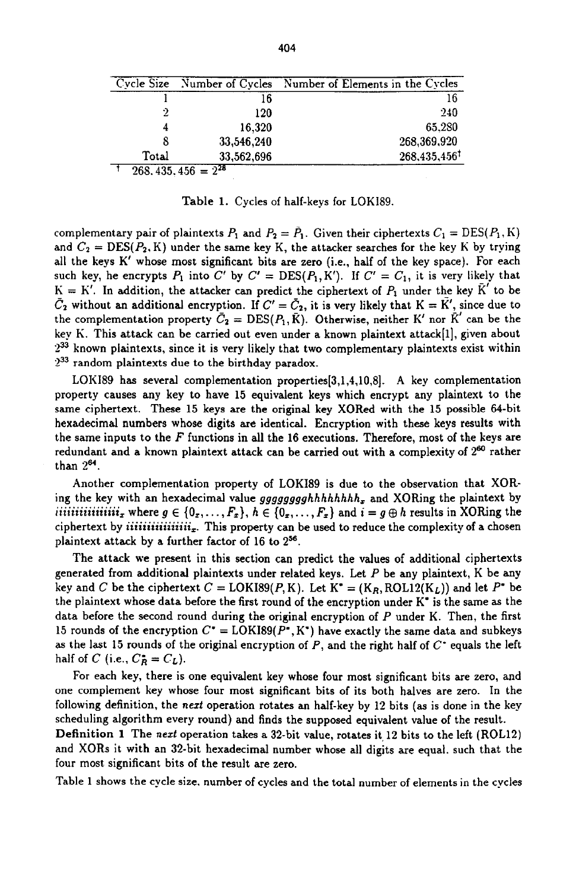|       | Cycle Size Number of Cycles | Number of Elements in the Cycles |
|-------|-----------------------------|----------------------------------|
|       | 16                          | 16                               |
| 2     | 120                         | 240                              |
|       | 16,320                      | 65,280                           |
|       | 33,546,240                  | 268,369,920                      |
| Total | 33,562,696                  | 268,435,456                      |
|       | $268, 435, 456 = 2^{28}$    |                                  |

Table 1. Cycles of half-keys for LOK189.

complementary pair of plaintexts  $P_1$  and  $P_2 = \overline{P_1}$ . Given their ciphertexts  $C_1 = \text{DES}(P_1, \text{K})$ and  $C_2 = \text{DES}(P_2, K)$  under the same key K, the attacker searches for the key K by trying all the keys K' whose most significant bits are zero (i.e., half of the key space). For each such key, he encrypts  $P_1$  into C' by  $C' = \text{DES}(P_1, K')$ . If  $C' = C_1$ , it is very likely that  $K = K'$ . In addition, the attacker can predict the ciphertext of  $P_1$  under the key  $\bar{K}'$  to be  $\bar{C}_2$  without an additional encryption. If  $C' = \bar{C}_2$ , it is very likely that  $K = \bar{K}'$ , since due to the complementation property  $\bar{C}_2 = \text{DES}(P_1, \bar{K})$ . Otherwise, neither K' nor  $\bar{K}'$  can be the key **K.** This attack can be carried out even under a known plaintext attack[l], given about **2%** known plaintexts, since it is very likely that two complementary plaintexts exist within **233** random plaintexts due to the birthday paradox.

LOKI89 has several complementation properties[3,1,4,10,8]. A key complementation property causes any key to have **15** equivalent keys which encrypt any plaintext to the **same** ciphertext. These **15** keys are the original key XORed with the 15 possible 64-bit hexadecimal numbers whose digits are identical. Encryption with these keys results with the same inputs to the  $F$  functions in all the 16 executions. Therefore, most of the keys are redundant and a known plaintext attack can be carried out with a complexity of **260** rather than  $2^{64}$ .

Another complementation property of LOKI89 is due to the observation that XORing the key with an hexadecimal value *gggggggghhhhhhhh,* and XORing the plaintext by *iiiiiiiiiiiiiiii,* where **g E** *{Or,.* . . , *Fr}, h* **E {O,,.** . . , *F')* and *i* = **<sup>g</sup>**@ *h* results in XORing the ciphertext by *iiiiiiiiiiiiiii<sub>x</sub>*. This property can be used to reduce the complexity of a chosen plaintext attack by a further factor of 16 to *P6.* 

The attack we present in this section can predict the values of additional ciphertexts generated from additional plaintexts under related keys. Let  $P$  be any plaintext, K be any key and C be the ciphertext  $C = \text{LOKI89}(P, K)$ . Let  $K^* = (K_R, \text{ROL12}(K_L))$  and let  $P^*$  be the plaintext whose data before the first round of the encryption under **K'** is the same **as** the data before the second round during the original encryption of  $P$  under K. Then, the first 15 rounds of the encryption  $C^* = \text{LOKI89}(P^*, K^*)$  have exactly the same data and subkeys **as** the last **15** rounds of the original encryption of *P,* and the right half of *C'* equals the left half of *C* (i.e.,  $C_R = C_L$ ).

For each key, there is one equivalent key whose four most significant bits are zero, and one complement key whose four most significant bits of its both halves are zero. In the following definition, the *ned* operation rotates an half-key by 12 bits **(as** is done in the key scheduling algorithm every round) and finds the supposed equivalent value of the result.

**Definition** 1 The nest operation takes **a** 32-bit value, rotates it, 12 bits to the left (ROL12) and **XORs** it with an 32-bit hexadecimal number whose all digits are equal. such that the four most significant bits of the result are zero.

Table 1 shows the cycle size. number of cycles and the total number of elements in the cycles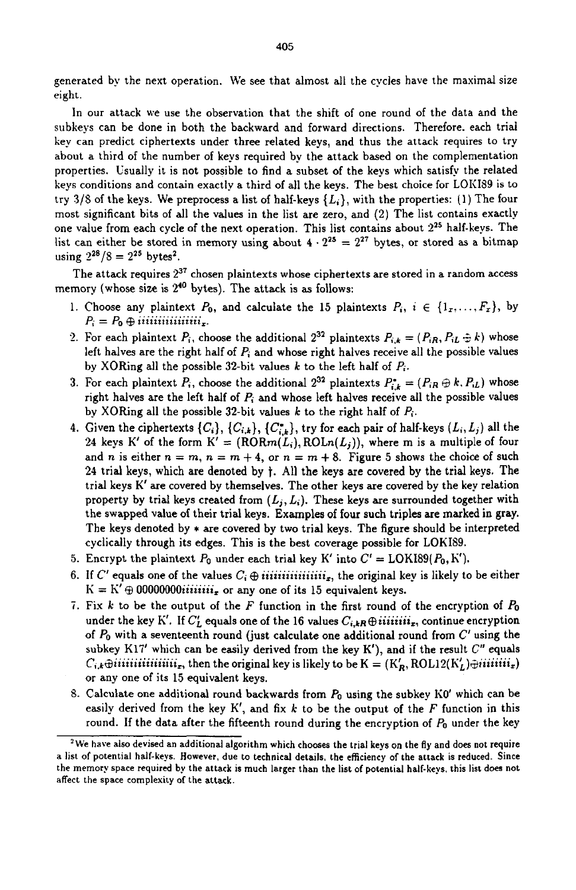generated by the next operation. We see that almost all the cycles have the maximal size eight.

In our attack we use the observation that the shift of one round of the data and the subkeys can be done in both the backward and forward directions. Therefore. each trial key can predict ciphertexts under three related keys, and thus the attack requires to try about a third of the number of keys required by the attack based on the complementation properties. Usually it is not possible to find a subset of the keys which satisfy the related keys conditions and contain exactly a third of all the keys. The best choice for LOKI89 is to try  $3/8$  of the keys. We preprocess a list of half-keys  $\{L_i\}$ , with the properties: (1) The four most significant bits of all the values in the list are zero, and (2) The list contains exactly one value from each cycle of the next operation. This list contains about **2"** half-keys. The list can either be stored in memory using about  $4 \cdot 2^{25} = 2^{27}$  bytes, or stored as a bitmap using  $2^{28}/8 = 2^{25}$  bytes<sup>2</sup>.

The attack requires **237** chosen plaintexts whose ciphertexts are stored in **a** random access memory (whose size is  $2^{40}$  bytes). The attack is as follows:

- 1. Choose any plaintext  $P_0$ , and calculate the 15 plaintexts  $P_i$ ,  $i \in \{1_x, ..., F_x\}$ , by  $P_i = P_0 \oplus iiiiiiiiiiiiiiiiiiii\ldots$
- 2. For each plaintext  $P_i$ , choose the additional  $2^{32}$  plaintexts  $P_{i,k} = (P_{iR}, P_{iL} \oplus k)$  whose left halves are the right half of *Pi* and whose right halves receive all the possible values by XORing all the possible 32-bit values *k* to the left half of *P,.*
- 3. For each plaintext  $P_i$ , choose the additional  $2^{32}$  plaintexts  $P_{i,k}^* = (P_{iR} \oplus k, P_{iL})$  whose right halves are the left half of  $P_i$  and whose left halves receive all the possible values by XORing all the possible 32-bit values *k* to the right half of **Pi.**
- **4.** Given the ciphertexts  $\{C_i\}$ ,  $\{C_{i,k}\}$ ,  $\{C_{i,k}^*\}$ , try for each pair of half-keys  $(L_i, L_j)$  all the 24 keys K' of the form  $K' = (RORM(L_i), ROLn(L_i)),$  where m is a multiple of four and *n* is either  $n = m$ ,  $n = m + 4$ , or  $n = m + 8$ . Figure 5 shows the choice of such **24** trial keys, which are denoted by t. All the keys are covered by the trial keys. The trial keys K' are covered by themselves. The other keys are covered by the key relation property by trial keys created from  $(L_i, L_i)$ . These keys are surrounded together with the swapped value of their trial keys. Examples of four such triples are **marked** in gray. The keys denoted by \* are covered by two trial keys. The figure should be interpreted cyclically through its edges. This is the best coverage possible for LOKISS.
- 5. Encrypt the plaintext  $P_0$  under each trial key K' into  $C' = \text{LOKIS9}(P_0, K')$ .
- 6. If C' equals one of the values  $C_i \oplus$  *iiiiiiiiiiiiiii*<sub>i</sub>, the original key is likely to be either I< = I<' *8 OOOOOOOOiiiiiiii,* or any one of its **15** equivalent keys.
- *i.* Fix *k* to be the output **of** the *F* function in the first round of the encryption of *Po*  under the key K'. If  $C'_{L}$  equals one of the 16 values  $C_{i,kR} \oplus iiiiiiii_{k}$ , continue encryption of *PO* with a seventeenth round (just calculate one additional round from **C'** using the subkey **K17'** which can be easily derived from the key **K'),** and if the result C" equals  $C_{i,k} \oplus iiiiiiiiiiiiiii_{x}$ , then the original key is likely to be  $K = (K_R', ROL12(K_L') \oplus iiiiiiii_{x})$ or any one of its **15** equivalent keys.
- **Y.** Calculate one additional round backwards from *PO* using the subkey **KO'** which **can** be easily derived from the key K', and fix *k* to be the output of the F function in this round. If the data after the fifteenth round during the encryption of **Po** under the key

**<sup>&#</sup>x27;We have also devised an additional algorithm which chooses the trial keys on the fly and does not** require **a list** of **potential half-keys. However, due to technical details. the efficiency** of **the attack is reduced. Since t.he memory space required by the attack is much larger than the list of potential half-keys. this list does not affect** the **space** cornplexiry of **the** attack.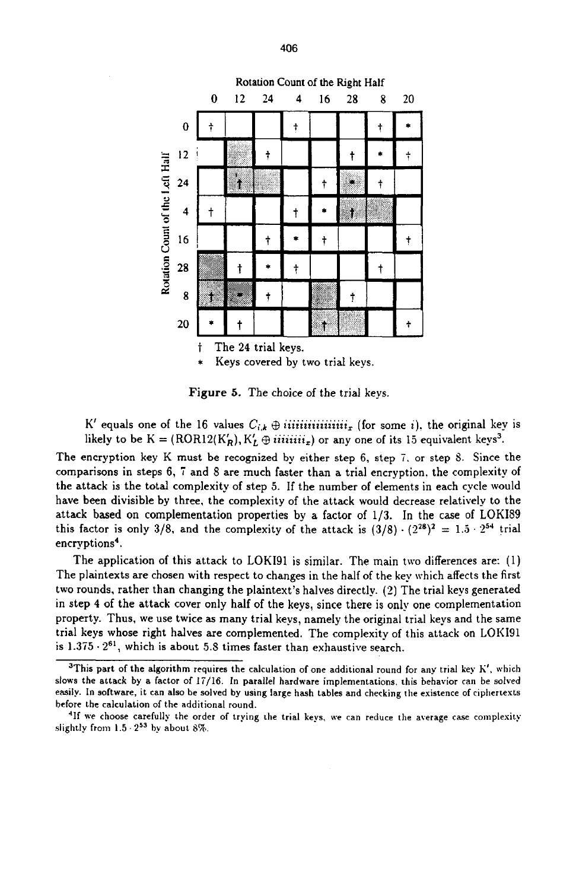

Figure *5.* The choice of the trial keys.

**K'** equals one of the 16 values  $C_{i,k} \oplus \{i\}$  *iiiiiiiiiiiiiii*<sub>i</sub> (for some *i*), the original key is likely to be  $K = (ROR12(K_R), K_L \oplus iiiiiiii)$  or any one of its 15 equivalent keys<sup>3</sup>.

The encryption key K must be recognized by either step 6, step 7. or step 8. Since the comparisons in steps 6, *i* and S are much faster than a trial encryption. the complexity **of**  the attack is the total complexity of step **5.** If the number of elements in each cycle would have been divisible by three, the complexity of the attack would decrease relatively to the attack based on complementation properties by a factor of **1/3.** In the case of LOKIS9 this factor is only 3/8, and the complexity of the attack is  $(3/8) \cdot (2^{28})^2 = 1.5 \cdot 2^{54}$  trial encryptions'.

The application of this attack to LOKI91 is similar. The main two differences are: (1) The plaintexts are chosen with respect to changes in the half of the key which affects the first two rounds, rather than changing the plaintext's halves directly. (2) The trial keys generated in step **4** of the attack cover only half of the keys, since there is only one complementation property. Thus, we use twice **as** many trial keys, namely the original trial keys and the same trial keys whose right halves are complemented. The complexity of this attack on LOKI91 is  $1.375 \cdot 2^{61}$ , which is about 5.8 times faster than exhaustive search.

**jThis part of the algorithm requires the calculation of one additional round** for **any trial key li', which slows the attack by a factor of 17/16. In parallel hardware implementations. this behavior can be solved**  easily. In software, it can also be solved by using large hash tables and checking the existence of ciphertexts **before the calculation of the additional round.** 

**<sup>&#</sup>x27;If we choose carefully the order of trying rhe trial keys. we can reduce the average case complexity slightly from 1.5. z5' hy about 8%).**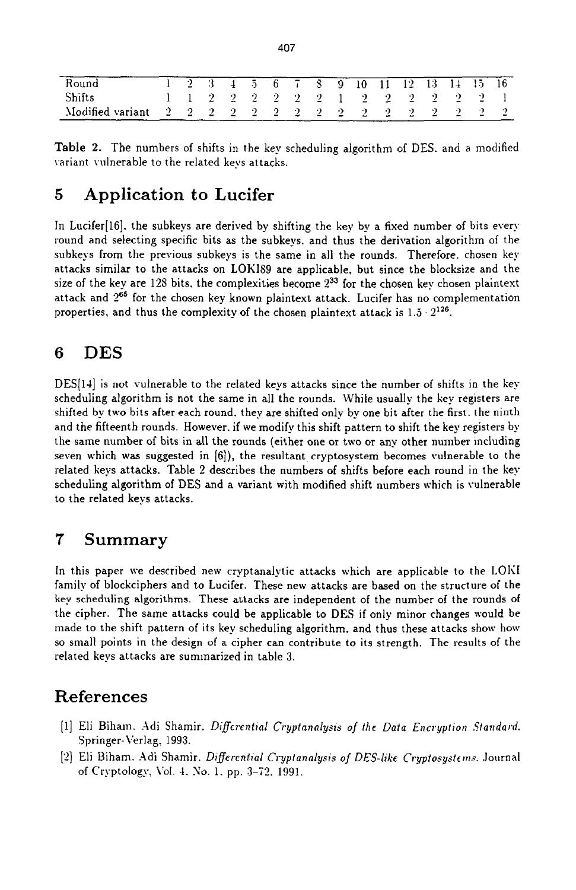| Round                                                |  |  |  |  |  |  | $1\quad 2\quad 3\quad 4\quad 5\quad 6\quad 7\quad 8\quad 9\quad 10\quad 11\quad 12\quad 13\quad 14\quad 15\quad 16$ |  |
|------------------------------------------------------|--|--|--|--|--|--|---------------------------------------------------------------------------------------------------------------------|--|
| - Shifts                                             |  |  |  |  |  |  | 1 1 2 2 2 2 2 2 1 2 2 2 2 2 2 1                                                                                     |  |
| Modified variant 2 2 2 2 2 2 2 2 2 2 2 2 2 2 2 2 2 2 |  |  |  |  |  |  |                                                                                                                     |  |

Table **2.** The numbers of shifts in the key scheduling algorithm of DES. and a modified variant vulnerable to the related keys attacks.

# **5 Application to Lucifer**

In Lucifer<sup>[16]</sup>, the subkeys are derived by shifting the key by a fixed number of bits every round and selecting specific hits **as** the subkeys. and thus the derivation algorithm of the subkeys from the previous subkeys is the same in all the rounds. Therefore. chosen key attacks similar to the attacks on LOKISS are applicable, but since the blocksize and the size of the key are 128 bits. the complexities become **233** for the chosen key chosen plaintext attack and 2<sup>65</sup> for the chosen key known plaintext attack. Lucifer has no complementation properties, and thus the complexity of the chosen plaintext attack is  $1.5 \cdot 2^{126}$ .

# **6 DES**

 $DES[14]$  is not vulnerable to the related keys attacks since the number of shifts in the key scheduling algorithm is not the same in all the rounds. While usually the key registers are shifted by two bits after each round. they are shifted only by one bit after the **first.** the ninth and the fifteenth rounds. However. if we modify this shift pattern to shift the key registers by the same number of bits in all the rounds (either one or two or any other number including seven which was suggested in *[6]),* the resultant cryptosystem becomes vulnerable to the related keys attacks. Table **2** describes the numbers of shifts before each round in the key scheduling algorithm of DES and a variant with modified shift numbers which is vulnerable to the related keys attacks.

# **7 Summary**

In this paper we described new cryptanalytic attacks which are applicable to the **LOkI**  family of blockciphers and to Lucifer. These new attacks are based on the structure of the key scheduling algorithms. These attacks are independent of the number of the rounds **of**  the cipher. The same attacks could be applicable to DES if only minor changes would be made to the shift pattern of its key scheduling algorithm, and thus these attacks show how so small points in the design of a cipher can contribute to its strength. The results of the related keys attacks are summarized in table **3.** 

# **References**

- [l] Eli Biham. Adi Shamir. *Dtflcrenttal Cryplnnnlyszs o/ Ihr Data Encrypfiori Standard.*  Springer-Verlag, 1993.
- *['L]* Eli Biham. hdi Shamir. *Diflerential Cryptanalysis of DES-like Cryptosystcrns.* Journal of Cryptology. *\bl.* 4. *so.* 1. pp **3-72.** 1991.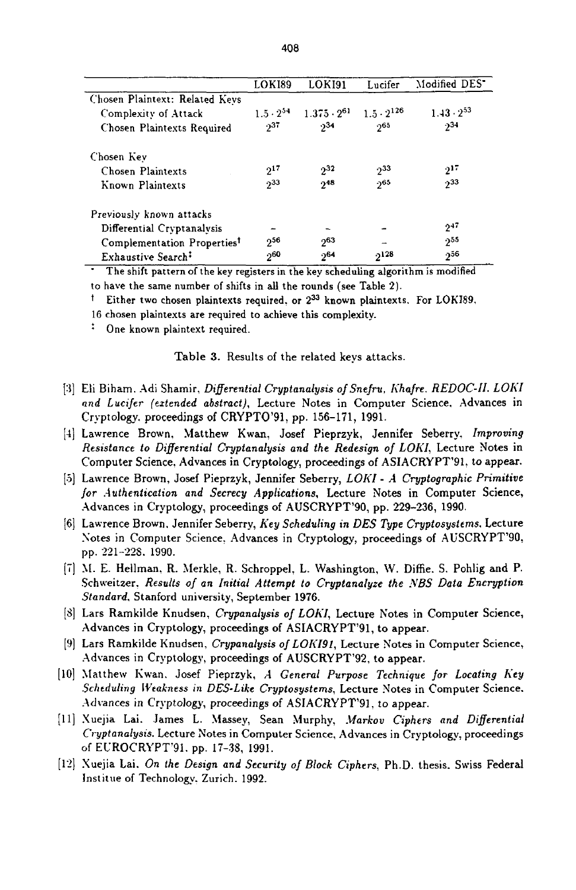|                                                                                      | LOKI89                    | LOKI91                         | Lucifer                     | Modified DES*                 |
|--------------------------------------------------------------------------------------|---------------------------|--------------------------------|-----------------------------|-------------------------------|
| Chosen Plaintext: Related Kevs<br>Complexity of Attack<br>Chosen Plaintexts Required | $1.5 \cdot 2^{54}$<br>237 | $1.375 \cdot 2^{61}$<br>$-234$ | $1.5 \cdot 2^{126}$<br>-765 | $1.43 \cdot 2^{53}$<br>$-234$ |
| Chosen Kev                                                                           |                           |                                |                             |                               |
| Chosen Plaintexts                                                                    | $2^{17}$                  | -932                           | -33                         | -917                          |
| Known Plaintexts                                                                     | 233                       | -748                           | -965                        | 233                           |
| Previously known attacks                                                             |                           |                                |                             |                               |
| Differential Cryptanalysis                                                           |                           |                                |                             | 247                           |
| Complementation Properties <sup>t</sup>                                              | 956                       | 963                            |                             | -955                          |
| Exhaustive Search <sup>:</sup>                                                       | 260                       | 264                            | 128م                        | -956                          |

- The shift pattern of the key registers in the key scheduling algorithm **is** modified

to have the same number of shifts in **all** the rounds (see Table 2).

<sup>†</sup> Either two chosen plaintexts required, or  $2^{33}$  known plaintexts. For LOK189.

16 chosen plaintexts are required to achieve this complexity.

One known plaintext required.

Table 3. Results of the related keys attacks.

- **[:I]** Eli Biham. Xdi Shamir, *Differential Cryptanalysis of Snefru, Khafre. REDOC-II. LOKI and Lucifer (eztended abstract),* Lecture Notes in Computer Science. Advances in Cryptology. proceedings of CRYPTO'91, pp. 156-171, 1991.
- **[A]** Lawrence Brown, Matthew **Kwan,** Josef Pieprzyk, Jennifer Seberry. *Improving Resistance to Differential Cryptanalysis and the Redesign of LOA'I?* Lecture Notes in Computer Science. Advances in Cryptology, proceedings of ASIACRYPT'91, to appear.
- **[5]** Lawrence Brown, Josef Pieprzyk, Jennifer Seberry, *LOKI*  **A** *Cryptographic Primitive*  for Authentication and Secrecy Applications, Lecture Notes in Computer Science, Advances in Cryptology, proceedings of AUSCRYPT'90, pp. 229-236, 1990.
- **IS]** Lawrence Brown. Jennifer Seberry, *Key Scheduling in DES Type Cryptosystcms.* Lecture Notes in Computer Science, Advances in Cryptology, proceedings of AUSCRYPT'90, pp. 221-22s. 1990.
- *[TI* **11.** E. Hellman. R. Xlerkle, R. Schroppel. L. Washington, W. Diffie. S. Pohlig and P. Schweitzer. *Results oj an Initial Attempt to Cryptanalyze the XBS Data Encryption Standard,* Stanford university, September 1976.
- [d] Lars Ramkilde Knudsen, *Crypanalysis oj LOKl,* Lecture Kotes in Computer Science, Advances in Cryptology, proceedings of ASIACRYPT'91, to appear.
- [9] Lars Ramkilde Knudsen, *Crypanalysis of LOKI91*, Lecture Notes in Computer Science, Advances in Cryptology, proceedings of AUSCRYPT'92, **to** appear.
- [lo] Slatthew Kwan. Josef Pieprzyk, ;I *General Purpose Technique* **for** *Locating Icey Scheduling Weakness in DES-Like Cryptosysterns,* Lecture Notes in Computer Science. Advances in Cryptology, proceedings of ASIACRYPT'91, to appear.
- 1111 Xuejia Lai. James L. Massey, Sean Murphy, *Markov Ciphers nnd Diflerential C'qptanalysis.* Lecture Notes in Computer Science, Advances in Cryptology, proceedings of ECROCRYPT'91. pp. 17-35, 1991.
- [I?] Xuejia Lai. *On fhe Design and Security of* Block *Ciphers,* Ph.D. thesis. Swiss Federal Institue of Technology. Zurich. 1992.